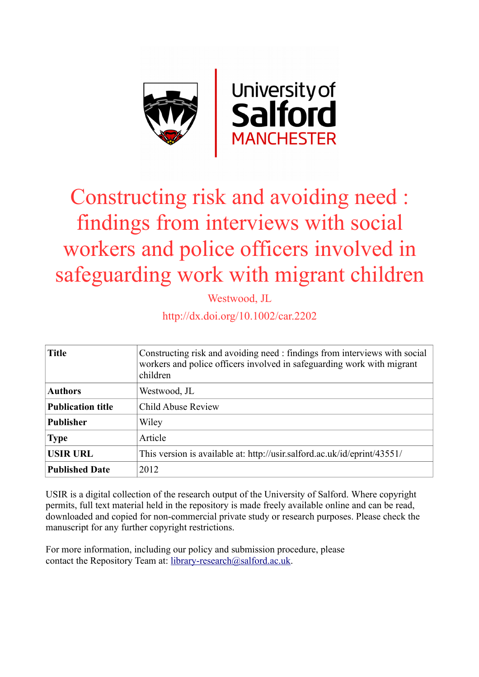

# Constructing risk and avoiding need : findings from interviews with social workers and police officers involved in safeguarding work with migrant children

Westwood, JL

http://dx.doi.org/10.1002/car.2202

| <b>Title</b>             | Constructing risk and avoiding need : findings from interviews with social<br>workers and police officers involved in safeguarding work with migrant<br>children |
|--------------------------|------------------------------------------------------------------------------------------------------------------------------------------------------------------|
| <b>Authors</b>           | Westwood, JL                                                                                                                                                     |
| <b>Publication title</b> | Child Abuse Review                                                                                                                                               |
| <b>Publisher</b>         | Wiley                                                                                                                                                            |
| <b>Type</b>              | Article                                                                                                                                                          |
| <b>USIR URL</b>          | This version is available at: http://usir.salford.ac.uk/id/eprint/43551/                                                                                         |
| <b>Published Date</b>    | 2012                                                                                                                                                             |

USIR is a digital collection of the research output of the University of Salford. Where copyright permits, full text material held in the repository is made freely available online and can be read, downloaded and copied for non-commercial private study or research purposes. Please check the manuscript for any further copyright restrictions.

For more information, including our policy and submission procedure, please contact the Repository Team at: [library-research@salford.ac.uk.](mailto:library-research@salford.ac.uk)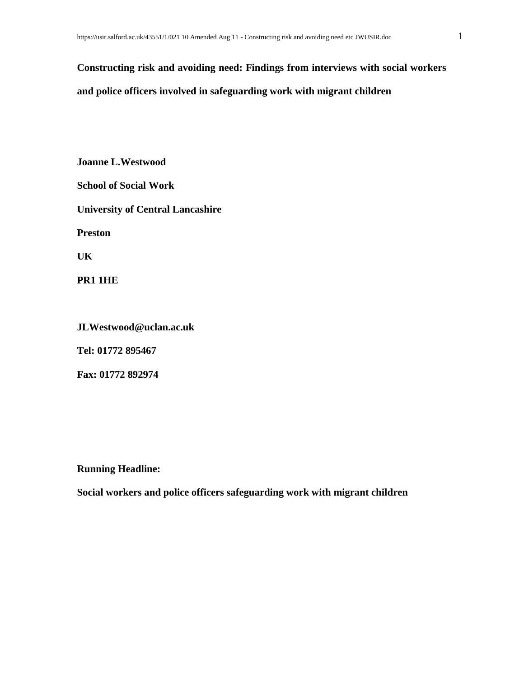## **Constructing risk and avoiding need: Findings from interviews with social workers and police officers involved in safeguarding work with migrant children**

**Joanne L.Westwood School of Social Work University of Central Lancashire Preston UK PR1 1HE**

**JLWestwood@uclan.ac.uk**

**Tel: 01772 895467**

**Fax: 01772 892974**

**Running Headline:** 

**Social workers and police officers safeguarding work with migrant children**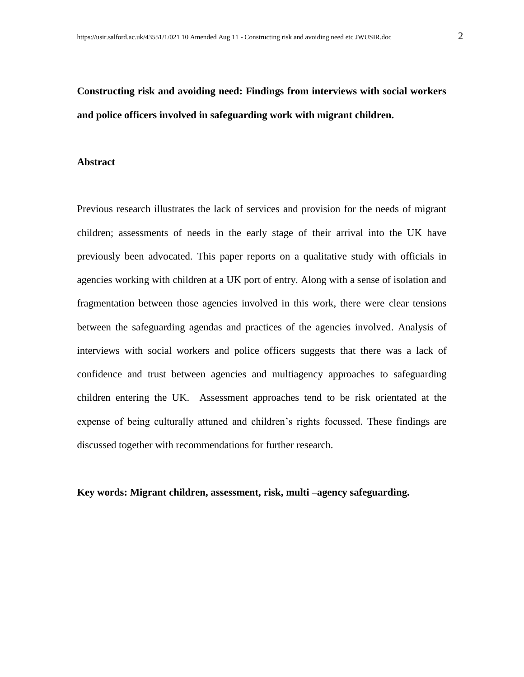### **Constructing risk and avoiding need: Findings from interviews with social workers and police officers involved in safeguarding work with migrant children.**

#### **Abstract**

Previous research illustrates the lack of services and provision for the needs of migrant children; assessments of needs in the early stage of their arrival into the UK have previously been advocated. This paper reports on a qualitative study with officials in agencies working with children at a UK port of entry. Along with a sense of isolation and fragmentation between those agencies involved in this work, there were clear tensions between the safeguarding agendas and practices of the agencies involved. Analysis of interviews with social workers and police officers suggests that there was a lack of confidence and trust between agencies and multiagency approaches to safeguarding children entering the UK. Assessment approaches tend to be risk orientated at the expense of being culturally attuned and children's rights focussed. These findings are discussed together with recommendations for further research.

#### **Key words: Migrant children, assessment, risk, multi –agency safeguarding.**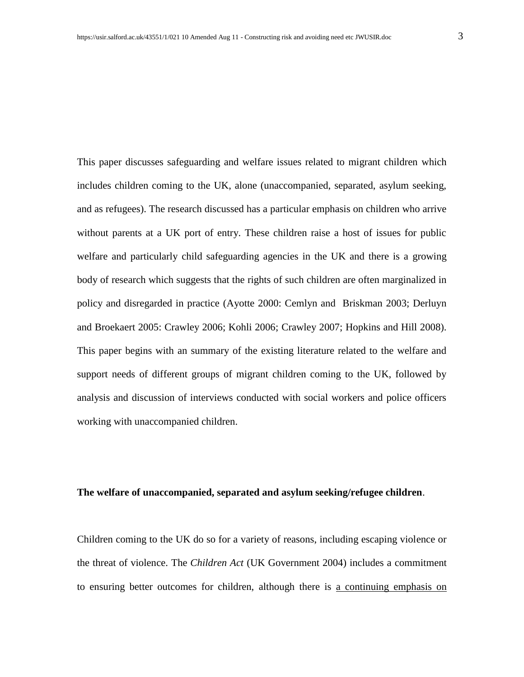This paper discusses safeguarding and welfare issues related to migrant children which includes children coming to the UK, alone (unaccompanied, separated, asylum seeking, and as refugees). The research discussed has a particular emphasis on children who arrive without parents at a UK port of entry. These children raise a host of issues for public welfare and particularly child safeguarding agencies in the UK and there is a growing body of research which suggests that the rights of such children are often marginalized in policy and disregarded in practice (Ayotte 2000: Cemlyn and Briskman 2003; Derluyn and Broekaert 2005: Crawley 2006; Kohli 2006; Crawley 2007; Hopkins and Hill 2008). This paper begins with an summary of the existing literature related to the welfare and support needs of different groups of migrant children coming to the UK, followed by analysis and discussion of interviews conducted with social workers and police officers working with unaccompanied children.

#### **The welfare of unaccompanied, separated and asylum seeking/refugee children**.

Children coming to the UK do so for a variety of reasons, including escaping violence or the threat of violence. The *Children Act* (UK Government 2004) includes a commitment to ensuring better outcomes for children, although there is a continuing emphasis on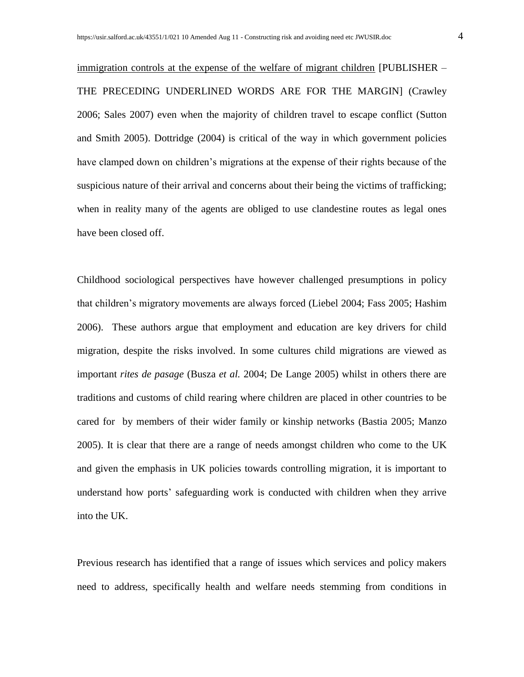immigration controls at the expense of the welfare of migrant children [PUBLISHER – THE PRECEDING UNDERLINED WORDS ARE FOR THE MARGIN] (Crawley 2006; Sales 2007) even when the majority of children travel to escape conflict (Sutton and Smith 2005). Dottridge (2004) is critical of the way in which government policies have clamped down on children's migrations at the expense of their rights because of the suspicious nature of their arrival and concerns about their being the victims of trafficking; when in reality many of the agents are obliged to use clandestine routes as legal ones have been closed off.

Childhood sociological perspectives have however challenged presumptions in policy that children's migratory movements are always forced (Liebel 2004; Fass 2005; Hashim 2006). These authors argue that employment and education are key drivers for child migration, despite the risks involved. In some cultures child migrations are viewed as important *rites de pasage* (Busza *et al.* 2004; De Lange 2005) whilst in others there are traditions and customs of child rearing where children are placed in other countries to be cared for by members of their wider family or kinship networks (Bastia 2005; Manzo 2005). It is clear that there are a range of needs amongst children who come to the UK and given the emphasis in UK policies towards controlling migration, it is important to understand how ports' safeguarding work is conducted with children when they arrive into the UK.

Previous research has identified that a range of issues which services and policy makers need to address, specifically health and welfare needs stemming from conditions in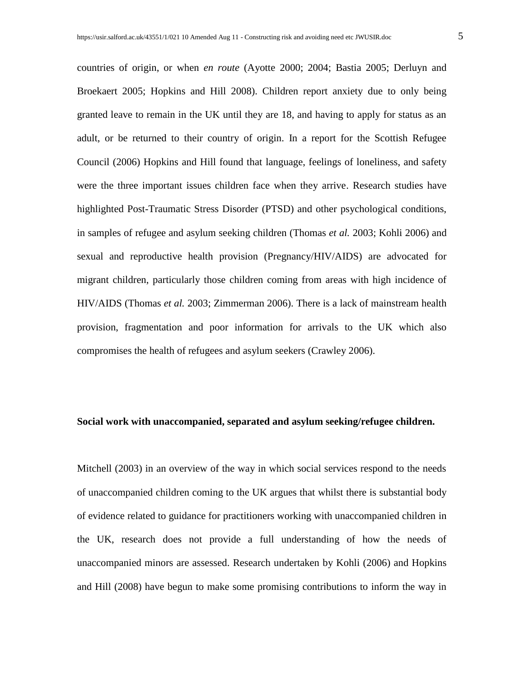countries of origin, or when *en route* (Ayotte 2000; 2004; Bastia 2005; Derluyn and Broekaert 2005; Hopkins and Hill 2008). Children report anxiety due to only being granted leave to remain in the UK until they are 18, and having to apply for status as an adult, or be returned to their country of origin. In a report for the Scottish Refugee Council (2006) Hopkins and Hill found that language, feelings of loneliness, and safety were the three important issues children face when they arrive. Research studies have highlighted Post-Traumatic Stress Disorder (PTSD) and other psychological conditions, in samples of refugee and asylum seeking children (Thomas *et al.* 2003; Kohli 2006) and sexual and reproductive health provision (Pregnancy/HIV/AIDS) are advocated for migrant children, particularly those children coming from areas with high incidence of HIV/AIDS (Thomas *et al.* 2003; Zimmerman 2006). There is a lack of mainstream health provision, fragmentation and poor information for arrivals to the UK which also compromises the health of refugees and asylum seekers (Crawley 2006).

#### **Social work with unaccompanied, separated and asylum seeking/refugee children.**

Mitchell (2003) in an overview of the way in which social services respond to the needs of unaccompanied children coming to the UK argues that whilst there is substantial body of evidence related to guidance for practitioners working with unaccompanied children in the UK, research does not provide a full understanding of how the needs of unaccompanied minors are assessed. Research undertaken by Kohli (2006) and Hopkins and Hill (2008) have begun to make some promising contributions to inform the way in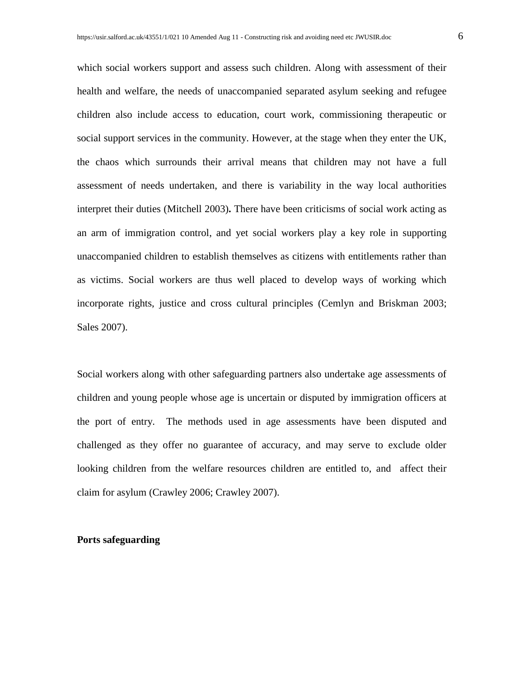which social workers support and assess such children. Along with assessment of their health and welfare, the needs of unaccompanied separated asylum seeking and refugee children also include access to education, court work, commissioning therapeutic or social support services in the community. However, at the stage when they enter the UK, the chaos which surrounds their arrival means that children may not have a full assessment of needs undertaken, and there is variability in the way local authorities interpret their duties (Mitchell 2003)**.** There have been criticisms of social work acting as an arm of immigration control, and yet social workers play a key role in supporting unaccompanied children to establish themselves as citizens with entitlements rather than as victims. Social workers are thus well placed to develop ways of working which incorporate rights, justice and cross cultural principles (Cemlyn and Briskman 2003; Sales 2007).

Social workers along with other safeguarding partners also undertake age assessments of children and young people whose age is uncertain or disputed by immigration officers at the port of entry. The methods used in age assessments have been disputed and challenged as they offer no guarantee of accuracy, and may serve to exclude older looking children from the welfare resources children are entitled to, and affect their claim for asylum (Crawley 2006; Crawley 2007).

#### **Ports safeguarding**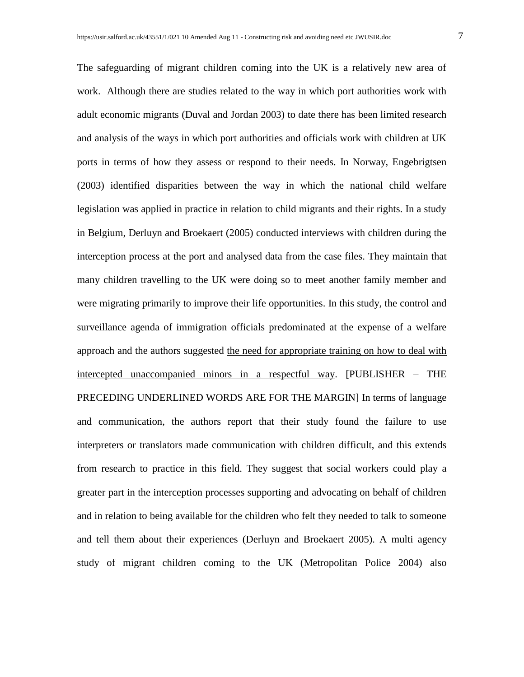The safeguarding of migrant children coming into the UK is a relatively new area of work. Although there are studies related to the way in which port authorities work with adult economic migrants (Duval and Jordan 2003) to date there has been limited research and analysis of the ways in which port authorities and officials work with children at UK ports in terms of how they assess or respond to their needs. In Norway, Engebrigtsen (2003) identified disparities between the way in which the national child welfare legislation was applied in practice in relation to child migrants and their rights. In a study in Belgium, Derluyn and Broekaert (2005) conducted interviews with children during the interception process at the port and analysed data from the case files. They maintain that many children travelling to the UK were doing so to meet another family member and were migrating primarily to improve their life opportunities. In this study, the control and surveillance agenda of immigration officials predominated at the expense of a welfare approach and the authors suggested the need for appropriate training on how to deal with intercepted unaccompanied minors in a respectful way. [PUBLISHER – THE PRECEDING UNDERLINED WORDS ARE FOR THE MARGIN] In terms of language and communication, the authors report that their study found the failure to use interpreters or translators made communication with children difficult, and this extends from research to practice in this field. They suggest that social workers could play a greater part in the interception processes supporting and advocating on behalf of children and in relation to being available for the children who felt they needed to talk to someone and tell them about their experiences (Derluyn and Broekaert 2005). A multi agency study of migrant children coming to the UK (Metropolitan Police 2004) also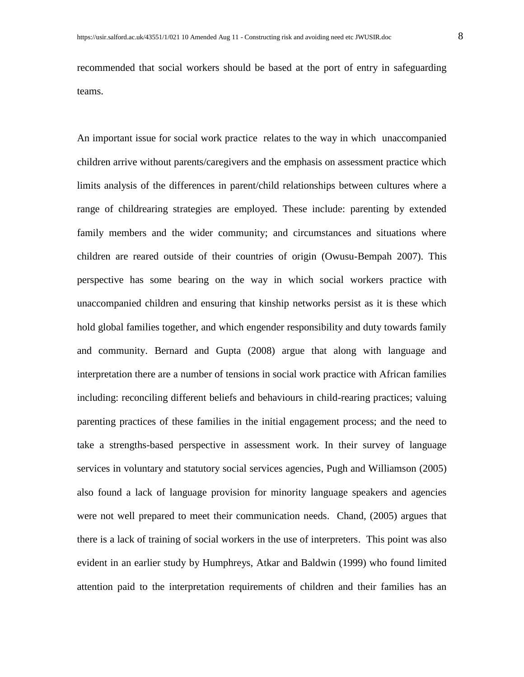recommended that social workers should be based at the port of entry in safeguarding teams.

An important issue for social work practice relates to the way in which unaccompanied children arrive without parents/caregivers and the emphasis on assessment practice which limits analysis of the differences in parent/child relationships between cultures where a range of childrearing strategies are employed. These include: parenting by extended family members and the wider community; and circumstances and situations where children are reared outside of their countries of origin (Owusu-Bempah 2007). This perspective has some bearing on the way in which social workers practice with unaccompanied children and ensuring that kinship networks persist as it is these which hold global families together, and which engender responsibility and duty towards family and community. Bernard and Gupta (2008) argue that along with language and interpretation there are a number of tensions in social work practice with African families including: reconciling different beliefs and behaviours in child-rearing practices; valuing parenting practices of these families in the initial engagement process; and the need to take a strengths-based perspective in assessment work. In their survey of language services in voluntary and statutory social services agencies, Pugh and Williamson (2005) also found a lack of language provision for minority language speakers and agencies were not well prepared to meet their communication needs. Chand, (2005) argues that there is a lack of training of social workers in the use of interpreters. This point was also evident in an earlier study by Humphreys, Atkar and Baldwin (1999) who found limited attention paid to the interpretation requirements of children and their families has an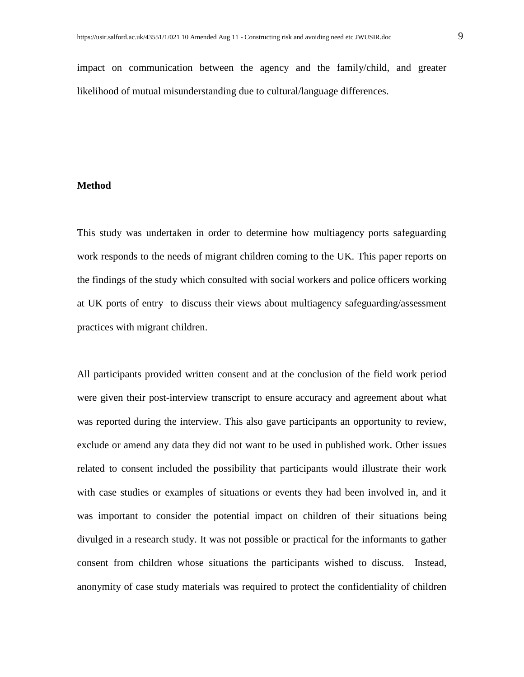impact on communication between the agency and the family/child, and greater likelihood of mutual misunderstanding due to cultural/language differences.

#### **Method**

This study was undertaken in order to determine how multiagency ports safeguarding work responds to the needs of migrant children coming to the UK. This paper reports on the findings of the study which consulted with social workers and police officers working at UK ports of entry to discuss their views about multiagency safeguarding/assessment practices with migrant children.

All participants provided written consent and at the conclusion of the field work period were given their post-interview transcript to ensure accuracy and agreement about what was reported during the interview. This also gave participants an opportunity to review, exclude or amend any data they did not want to be used in published work. Other issues related to consent included the possibility that participants would illustrate their work with case studies or examples of situations or events they had been involved in, and it was important to consider the potential impact on children of their situations being divulged in a research study. It was not possible or practical for the informants to gather consent from children whose situations the participants wished to discuss. Instead, anonymity of case study materials was required to protect the confidentiality of children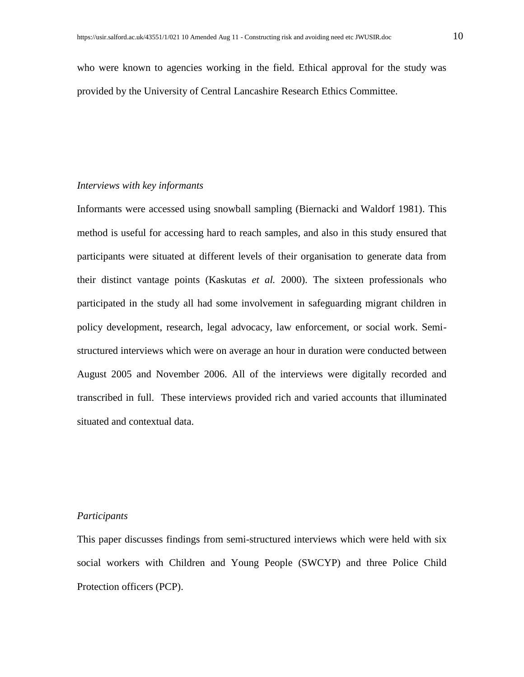who were known to agencies working in the field. Ethical approval for the study was provided by the University of Central Lancashire Research Ethics Committee.

#### *Interviews with key informants*

Informants were accessed using snowball sampling (Biernacki and Waldorf 1981). This method is useful for accessing hard to reach samples, and also in this study ensured that participants were situated at different levels of their organisation to generate data from their distinct vantage points (Kaskutas *et al.* 2000). The sixteen professionals who participated in the study all had some involvement in safeguarding migrant children in policy development, research, legal advocacy, law enforcement, or social work. Semistructured interviews which were on average an hour in duration were conducted between August 2005 and November 2006. All of the interviews were digitally recorded and transcribed in full. These interviews provided rich and varied accounts that illuminated situated and contextual data.

#### *Participants*

This paper discusses findings from semi-structured interviews which were held with six social workers with Children and Young People (SWCYP) and three Police Child Protection officers (PCP).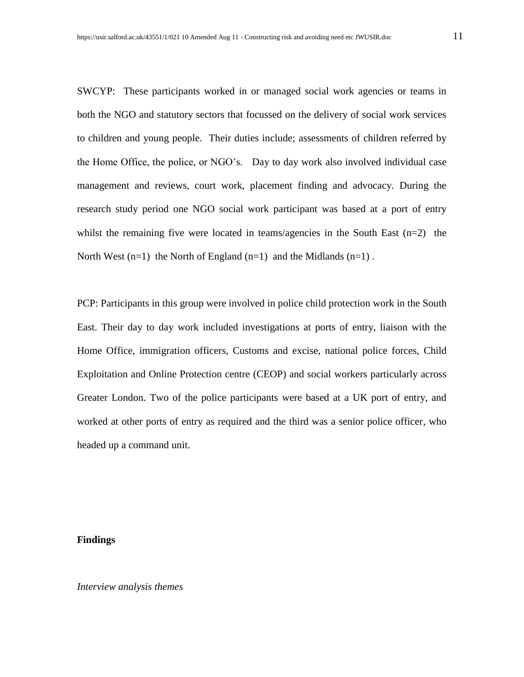SWCYP: These participants worked in or managed social work agencies or teams in both the NGO and statutory sectors that focussed on the delivery of social work services to children and young people. Their duties include; assessments of children referred by the Home Office, the police, or NGO's. Day to day work also involved individual case management and reviews, court work, placement finding and advocacy. During the research study period one NGO social work participant was based at a port of entry whilst the remaining five were located in teams/agencies in the South East  $(n=2)$  the North West  $(n=1)$  the North of England  $(n=1)$  and the Midlands  $(n=1)$ .

PCP: Participants in this group were involved in police child protection work in the South East. Their day to day work included investigations at ports of entry, liaison with the Home Office, immigration officers, Customs and excise, national police forces, Child Exploitation and Online Protection centre (CEOP) and social workers particularly across Greater London. Two of the police participants were based at a UK port of entry, and worked at other ports of entry as required and the third was a senior police officer, who headed up a command unit.

#### **Findings**

*Interview analysis themes*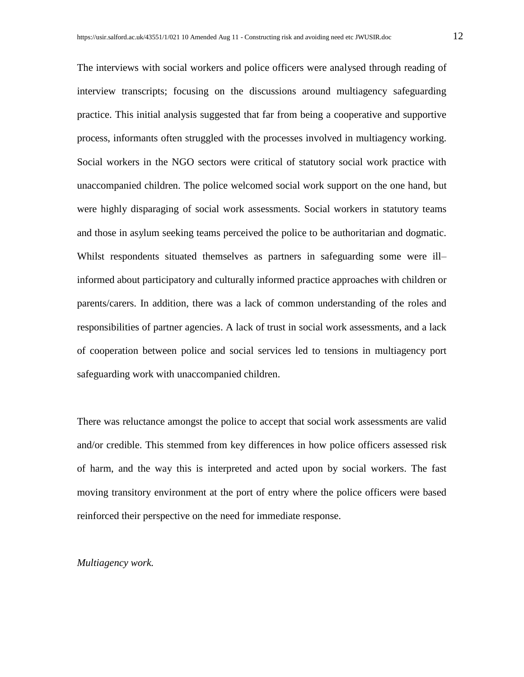The interviews with social workers and police officers were analysed through reading of interview transcripts; focusing on the discussions around multiagency safeguarding practice. This initial analysis suggested that far from being a cooperative and supportive process, informants often struggled with the processes involved in multiagency working. Social workers in the NGO sectors were critical of statutory social work practice with unaccompanied children. The police welcomed social work support on the one hand, but were highly disparaging of social work assessments. Social workers in statutory teams and those in asylum seeking teams perceived the police to be authoritarian and dogmatic. Whilst respondents situated themselves as partners in safeguarding some were ill– informed about participatory and culturally informed practice approaches with children or parents/carers. In addition, there was a lack of common understanding of the roles and responsibilities of partner agencies. A lack of trust in social work assessments, and a lack of cooperation between police and social services led to tensions in multiagency port safeguarding work with unaccompanied children.

There was reluctance amongst the police to accept that social work assessments are valid and/or credible. This stemmed from key differences in how police officers assessed risk of harm, and the way this is interpreted and acted upon by social workers. The fast moving transitory environment at the port of entry where the police officers were based reinforced their perspective on the need for immediate response.

#### *Multiagency work.*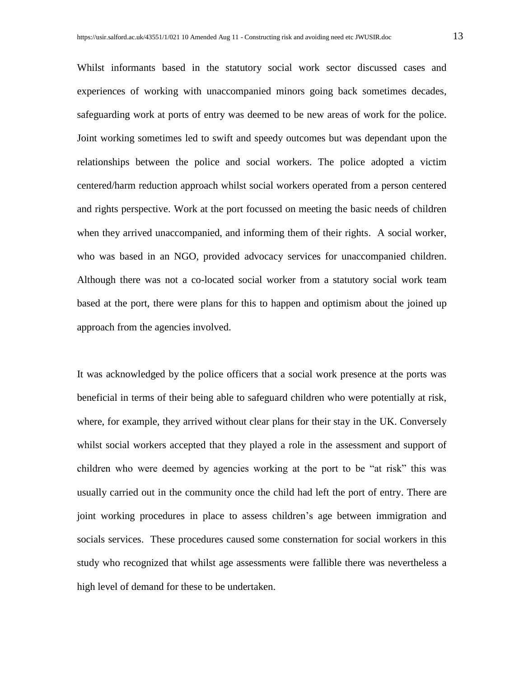Whilst informants based in the statutory social work sector discussed cases and experiences of working with unaccompanied minors going back sometimes decades, safeguarding work at ports of entry was deemed to be new areas of work for the police. Joint working sometimes led to swift and speedy outcomes but was dependant upon the relationships between the police and social workers. The police adopted a victim centered/harm reduction approach whilst social workers operated from a person centered and rights perspective. Work at the port focussed on meeting the basic needs of children when they arrived unaccompanied, and informing them of their rights. A social worker, who was based in an NGO, provided advocacy services for unaccompanied children. Although there was not a co-located social worker from a statutory social work team based at the port, there were plans for this to happen and optimism about the joined up approach from the agencies involved.

It was acknowledged by the police officers that a social work presence at the ports was beneficial in terms of their being able to safeguard children who were potentially at risk, where, for example, they arrived without clear plans for their stay in the UK. Conversely whilst social workers accepted that they played a role in the assessment and support of children who were deemed by agencies working at the port to be "at risk" this was usually carried out in the community once the child had left the port of entry. There are joint working procedures in place to assess children's age between immigration and socials services. These procedures caused some consternation for social workers in this study who recognized that whilst age assessments were fallible there was nevertheless a high level of demand for these to be undertaken.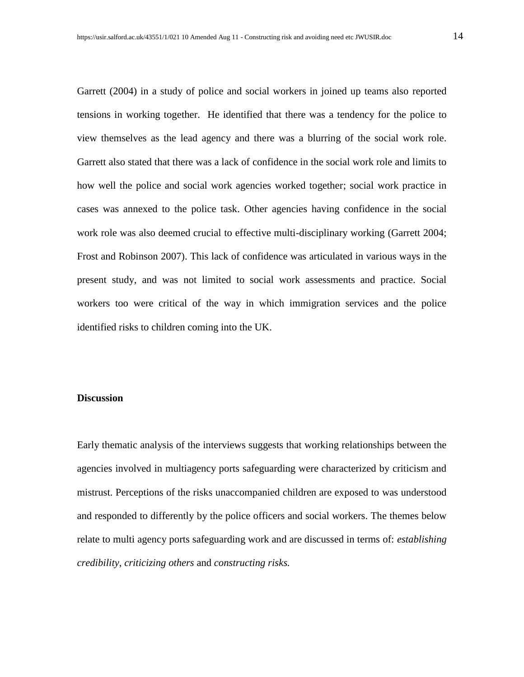Garrett (2004) in a study of police and social workers in joined up teams also reported tensions in working together. He identified that there was a tendency for the police to view themselves as the lead agency and there was a blurring of the social work role. Garrett also stated that there was a lack of confidence in the social work role and limits to how well the police and social work agencies worked together; social work practice in cases was annexed to the police task. Other agencies having confidence in the social work role was also deemed crucial to effective multi-disciplinary working (Garrett 2004; Frost and Robinson 2007). This lack of confidence was articulated in various ways in the present study, and was not limited to social work assessments and practice. Social workers too were critical of the way in which immigration services and the police identified risks to children coming into the UK.

#### **Discussion**

Early thematic analysis of the interviews suggests that working relationships between the agencies involved in multiagency ports safeguarding were characterized by criticism and mistrust. Perceptions of the risks unaccompanied children are exposed to was understood and responded to differently by the police officers and social workers. The themes below relate to multi agency ports safeguarding work and are discussed in terms of: *establishing credibility*, *criticizing others* and *constructing risks.*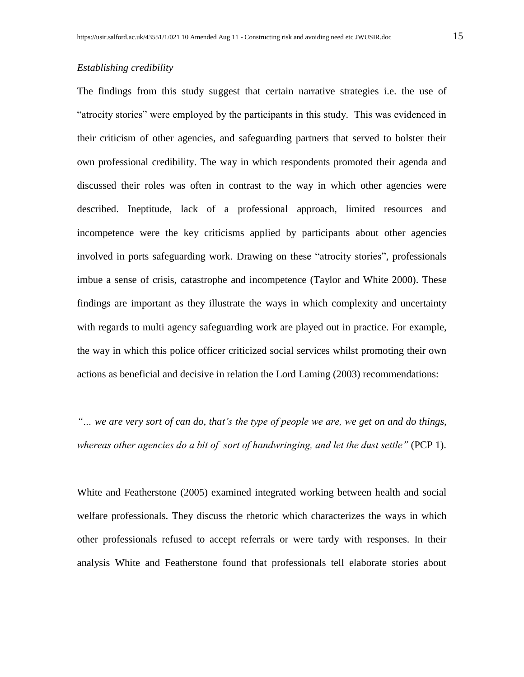#### *Establishing credibility*

The findings from this study suggest that certain narrative strategies i.e. the use of "atrocity stories" were employed by the participants in this study. This was evidenced in their criticism of other agencies, and safeguarding partners that served to bolster their own professional credibility. The way in which respondents promoted their agenda and discussed their roles was often in contrast to the way in which other agencies were described. Ineptitude, lack of a professional approach, limited resources and incompetence were the key criticisms applied by participants about other agencies involved in ports safeguarding work. Drawing on these "atrocity stories", professionals imbue a sense of crisis, catastrophe and incompetence (Taylor and White 2000). These findings are important as they illustrate the ways in which complexity and uncertainty with regards to multi agency safeguarding work are played out in practice. For example, the way in which this police officer criticized social services whilst promoting their own actions as beneficial and decisive in relation the Lord Laming (2003) recommendations:

*"… we are very sort of can do, that's the type of people we are, we get on and do things, whereas other agencies do a bit of sort of handwringing, and let the dust settle"* (PCP 1).

White and Featherstone (2005) examined integrated working between health and social welfare professionals. They discuss the rhetoric which characterizes the ways in which other professionals refused to accept referrals or were tardy with responses. In their analysis White and Featherstone found that professionals tell elaborate stories about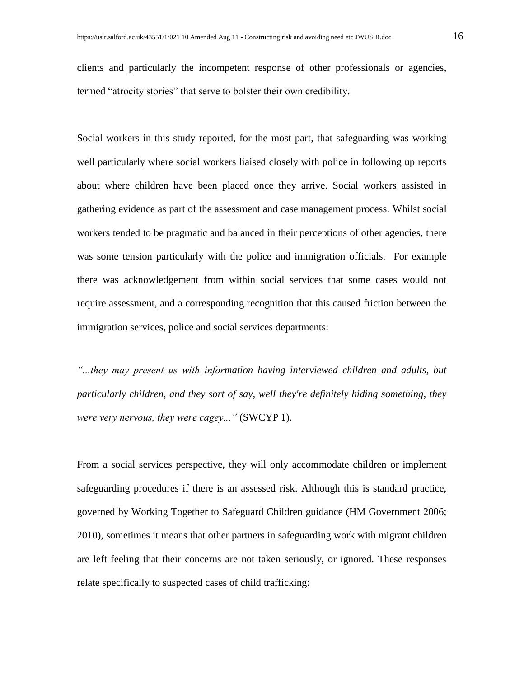clients and particularly the incompetent response of other professionals or agencies, termed "atrocity stories" that serve to bolster their own credibility.

Social workers in this study reported, for the most part, that safeguarding was working well particularly where social workers liaised closely with police in following up reports about where children have been placed once they arrive. Social workers assisted in gathering evidence as part of the assessment and case management process. Whilst social workers tended to be pragmatic and balanced in their perceptions of other agencies, there was some tension particularly with the police and immigration officials. For example there was acknowledgement from within social services that some cases would not require assessment, and a corresponding recognition that this caused friction between the immigration services, police and social services departments:

*"...they may present us with information having interviewed children and adults, but particularly children, and they sort of say, well they're definitely hiding something, they were very nervous, they were cagey..."* (SWCYP 1).

From a social services perspective, they will only accommodate children or implement safeguarding procedures if there is an assessed risk. Although this is standard practice, governed by Working Together to Safeguard Children guidance (HM Government 2006; 2010), sometimes it means that other partners in safeguarding work with migrant children are left feeling that their concerns are not taken seriously, or ignored. These responses relate specifically to suspected cases of child trafficking: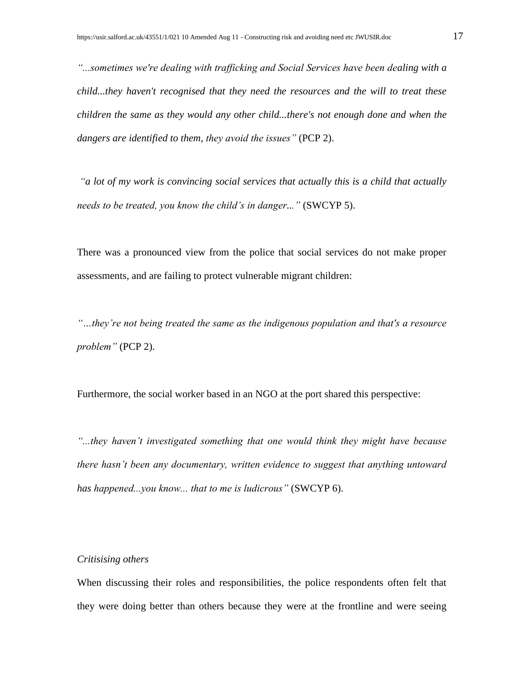*"...sometimes we're dealing with trafficking and Social Services have been dealing with a child...they haven't recognised that they need the resources and the will to treat these children the same as they would any other child...there's not enough done and when the dangers are identified to them, they avoid the issues"* (PCP 2).

*"a lot of my work is convincing social services that actually this is a child that actually needs to be treated, you know the child's in danger..."* (SWCYP 5).

There was a pronounced view from the police that social services do not make proper assessments, and are failing to protect vulnerable migrant children:

*"…they're not being treated the same as the indigenous population and that's a resource problem"* (PCP 2).

Furthermore, the social worker based in an NGO at the port shared this perspective:

*"...they haven't investigated something that one would think they might have because there hasn't been any documentary, written evidence to suggest that anything untoward has happened...you know... that to me is ludicrous"* (SWCYP 6).

#### *Critisising others*

When discussing their roles and responsibilities, the police respondents often felt that they were doing better than others because they were at the frontline and were seeing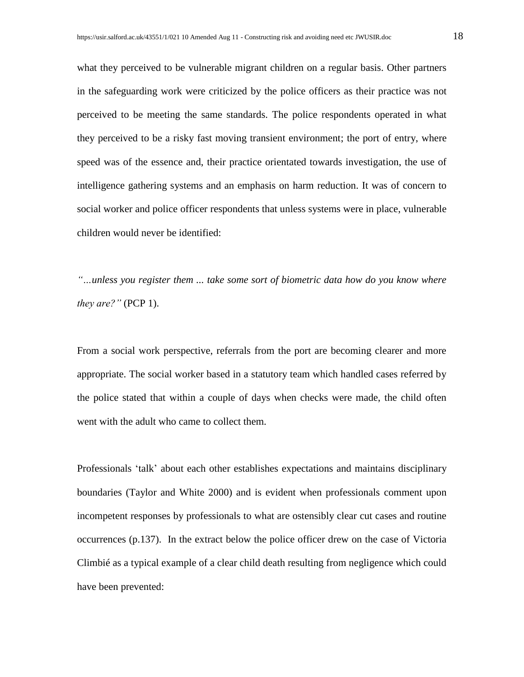what they perceived to be vulnerable migrant children on a regular basis. Other partners in the safeguarding work were criticized by the police officers as their practice was not perceived to be meeting the same standards. The police respondents operated in what they perceived to be a risky fast moving transient environment; the port of entry, where speed was of the essence and, their practice orientated towards investigation, the use of intelligence gathering systems and an emphasis on harm reduction. It was of concern to social worker and police officer respondents that unless systems were in place, vulnerable children would never be identified:

*"…unless you register them ... take some sort of biometric data how do you know where they are?"* (PCP 1).

From a social work perspective, referrals from the port are becoming clearer and more appropriate. The social worker based in a statutory team which handled cases referred by the police stated that within a couple of days when checks were made, the child often went with the adult who came to collect them.

Professionals 'talk' about each other establishes expectations and maintains disciplinary boundaries (Taylor and White 2000) and is evident when professionals comment upon incompetent responses by professionals to what are ostensibly clear cut cases and routine occurrences (p.137). In the extract below the police officer drew on the case of Victoria Climbié as a typical example of a clear child death resulting from negligence which could have been prevented: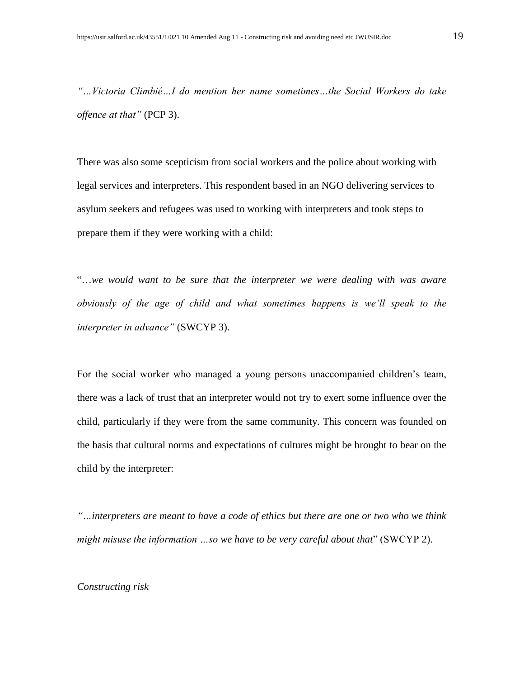*"…Victoria Climbié…I do mention her name sometimes…the Social Workers do take offence at that"* (PCP 3).

There was also some scepticism from social workers and the police about working with legal services and interpreters. This respondent based in an NGO delivering services to asylum seekers and refugees was used to working with interpreters and took steps to prepare them if they were working with a child:

"…*we would want to be sure that the interpreter we were dealing with was aware obviously of the age of child and what sometimes happens is we'll speak to the interpreter in advance"* (SWCYP 3).

For the social worker who managed a young persons unaccompanied children's team, there was a lack of trust that an interpreter would not try to exert some influence over the child, particularly if they were from the same community. This concern was founded on the basis that cultural norms and expectations of cultures might be brought to bear on the child by the interpreter:

*"…interpreters are meant to have a code of ethics but there are one or two who we think might misuse the information …so we have to be very careful about that*" (SWCYP 2).

#### *Constructing risk*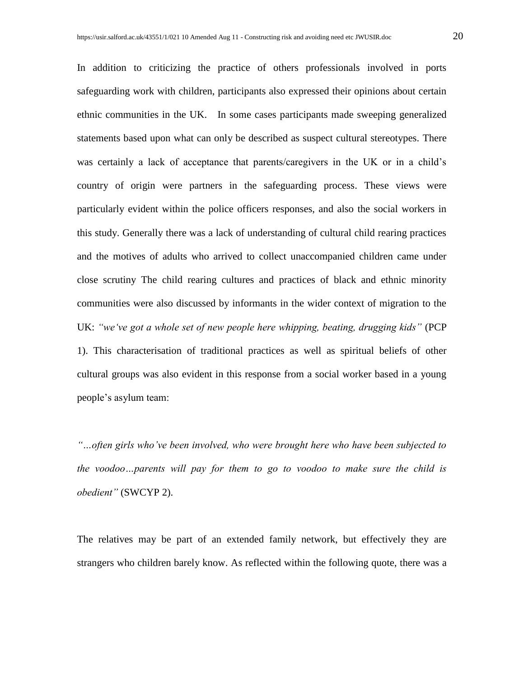In addition to criticizing the practice of others professionals involved in ports safeguarding work with children, participants also expressed their opinions about certain ethnic communities in the UK. In some cases participants made sweeping generalized statements based upon what can only be described as suspect cultural stereotypes*.* There was certainly a lack of acceptance that parents/caregivers in the UK or in a child's country of origin were partners in the safeguarding process. These views were particularly evident within the police officers responses, and also the social workers in this study. Generally there was a lack of understanding of cultural child rearing practices and the motives of adults who arrived to collect unaccompanied children came under close scrutiny The child rearing cultures and practices of black and ethnic minority communities were also discussed by informants in the wider context of migration to the UK: *"we've got a whole set of new people here whipping, beating, drugging kids"* (PCP 1). This characterisation of traditional practices as well as spiritual beliefs of other cultural groups was also evident in this response from a social worker based in a young people's asylum team:

*"…often girls who've been involved, who were brought here who have been subjected to the voodoo…parents will pay for them to go to voodoo to make sure the child is obedient"* (SWCYP 2).

The relatives may be part of an extended family network, but effectively they are strangers who children barely know. As reflected within the following quote, there was a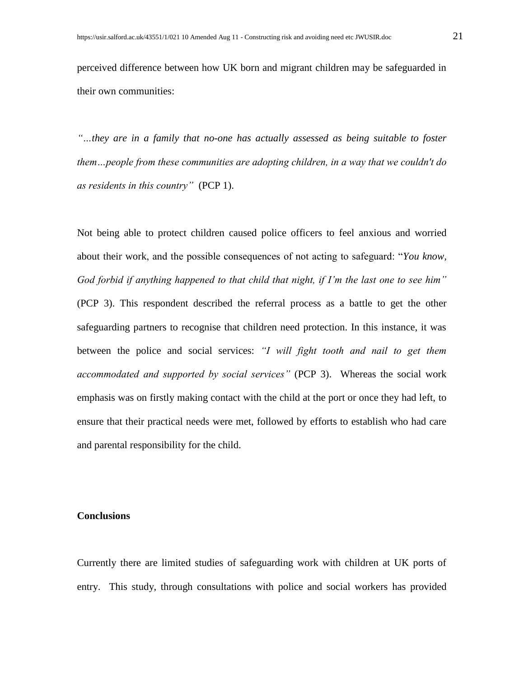perceived difference between how UK born and migrant children may be safeguarded in their own communities:

*"…they are in a family that no-one has actually assessed as being suitable to foster them…people from these communities are adopting children, in a way that we couldn't do as residents in this country"* (PCP 1).

Not being able to protect children caused police officers to feel anxious and worried about their work, and the possible consequences of not acting to safeguard: "*You know, God forbid if anything happened to that child that night, if I'm the last one to see him"* (PCP 3). This respondent described the referral process as a battle to get the other safeguarding partners to recognise that children need protection. In this instance, it was between the police and social services: *"I will fight tooth and nail to get them accommodated and supported by social services"* (PCP 3). Whereas the social work emphasis was on firstly making contact with the child at the port or once they had left, to ensure that their practical needs were met, followed by efforts to establish who had care and parental responsibility for the child.

#### **Conclusions**

Currently there are limited studies of safeguarding work with children at UK ports of entry. This study, through consultations with police and social workers has provided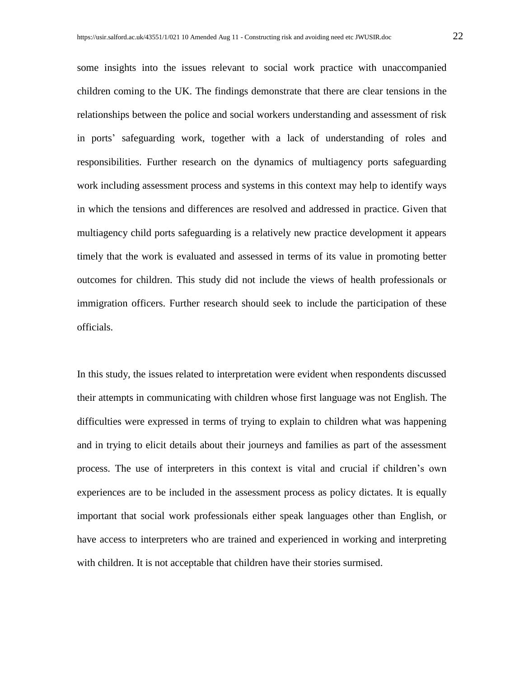some insights into the issues relevant to social work practice with unaccompanied children coming to the UK. The findings demonstrate that there are clear tensions in the relationships between the police and social workers understanding and assessment of risk in ports' safeguarding work, together with a lack of understanding of roles and responsibilities. Further research on the dynamics of multiagency ports safeguarding work including assessment process and systems in this context may help to identify ways in which the tensions and differences are resolved and addressed in practice. Given that multiagency child ports safeguarding is a relatively new practice development it appears timely that the work is evaluated and assessed in terms of its value in promoting better outcomes for children. This study did not include the views of health professionals or immigration officers. Further research should seek to include the participation of these officials.

In this study, the issues related to interpretation were evident when respondents discussed their attempts in communicating with children whose first language was not English. The difficulties were expressed in terms of trying to explain to children what was happening and in trying to elicit details about their journeys and families as part of the assessment process. The use of interpreters in this context is vital and crucial if children's own experiences are to be included in the assessment process as policy dictates. It is equally important that social work professionals either speak languages other than English, or have access to interpreters who are trained and experienced in working and interpreting with children. It is not acceptable that children have their stories surmised.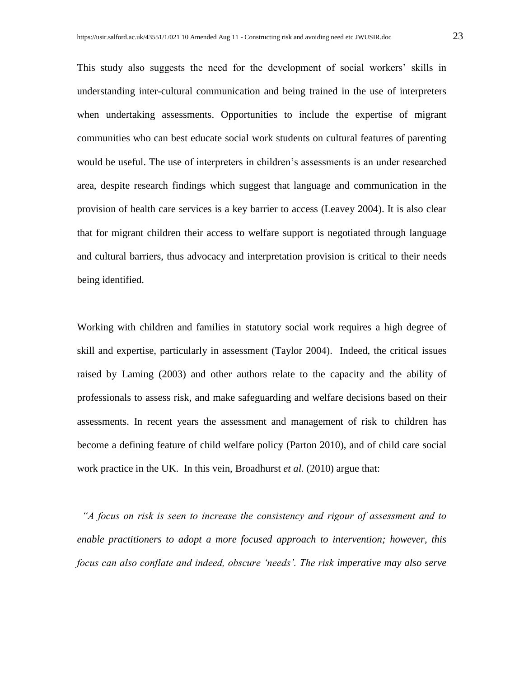This study also suggests the need for the development of social workers' skills in understanding inter-cultural communication and being trained in the use of interpreters when undertaking assessments. Opportunities to include the expertise of migrant communities who can best educate social work students on cultural features of parenting would be useful. The use of interpreters in children's assessments is an under researched area, despite research findings which suggest that language and communication in the provision of health care services is a key barrier to access (Leavey 2004). It is also clear that for migrant children their access to welfare support is negotiated through language and cultural barriers, thus advocacy and interpretation provision is critical to their needs being identified.

Working with children and families in statutory social work requires a high degree of skill and expertise, particularly in assessment (Taylor 2004). Indeed, the critical issues raised by Laming (2003) and other authors relate to the capacity and the ability of professionals to assess risk, and make safeguarding and welfare decisions based on their assessments. In recent years the assessment and management of risk to children has become a defining feature of child welfare policy (Parton 2010), and of child care social work practice in the UK. In this vein, Broadhurst *et al.* (2010) argue that:

 *"A focus on risk is seen to increase the consistency and rigour of assessment and to enable practitioners to adopt a more focused approach to intervention; however, this focus can also conflate and indeed, obscure 'needs'. The risk imperative may also serve*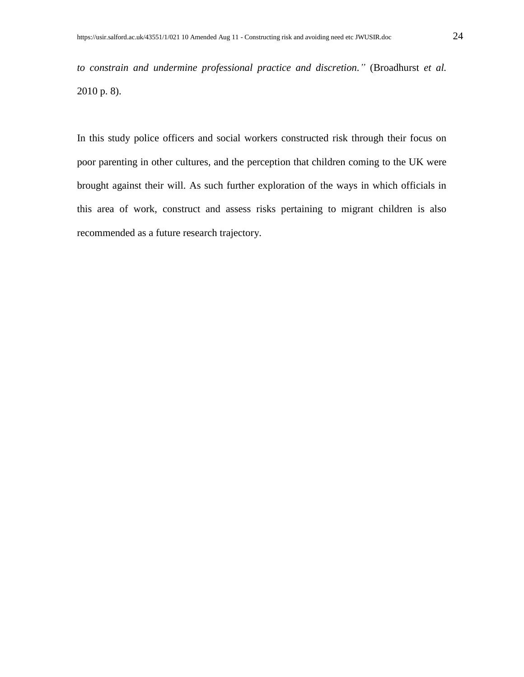*to constrain and undermine professional practice and discretion."* (Broadhurst *et al.* 2010 p. 8).

In this study police officers and social workers constructed risk through their focus on poor parenting in other cultures, and the perception that children coming to the UK were brought against their will. As such further exploration of the ways in which officials in this area of work, construct and assess risks pertaining to migrant children is also recommended as a future research trajectory.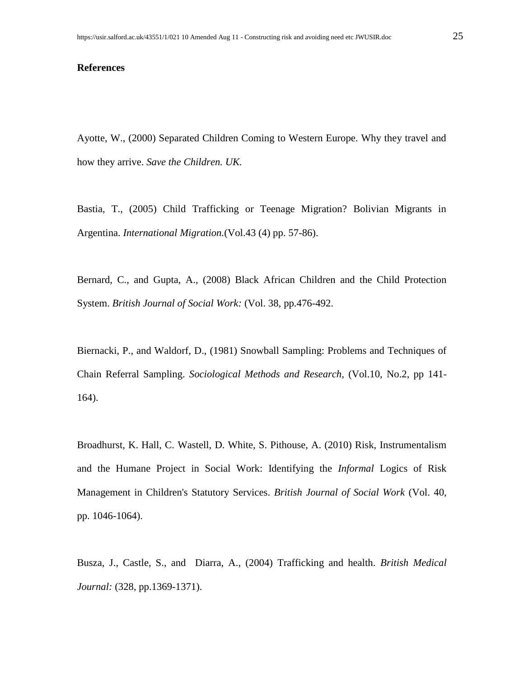#### **References**

Ayotte, W., (2000) Separated Children Coming to Western Europe. Why they travel and how they arrive. *Save the Children. UK.*

Bastia, T., (2005) Child Trafficking or Teenage Migration? Bolivian Migrants in Argentina. *International Migration.*(Vol.43 (4) pp. 57-86).

Bernard, C., and Gupta, A., (2008) Black African Children and the Child Protection System. *British Journal of Social Work:* (Vol. 38, pp.476-492.

Biernacki, P., and Waldorf, D., (1981) Snowball Sampling: Problems and Techniques of Chain Referral Sampling. *Sociological Methods and Research,* (Vol.10, No.2, pp 141- 164).

Broadhurst, K. Hall, C. Wastell, D. White, S. Pithouse, A. (2010) Risk, Instrumentalism and the Humane Project in Social Work: Identifying the *Informal* Logics of Risk Management in Children's Statutory Services. *British Journal of Social Work* (Vol. 40, pp. 1046-1064).

Busza, J., Castle, S., and Diarra, A., (2004) Trafficking and health. *British Medical Journal:* (328, pp.1369-1371).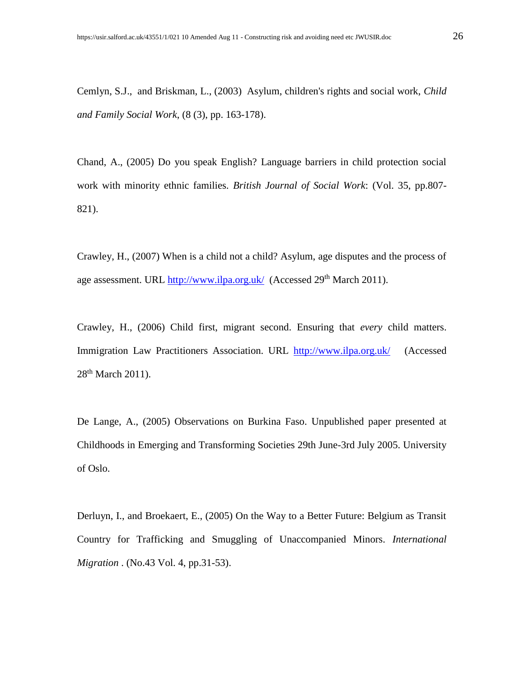Cemlyn, S.J., and Briskman, L., (2003) Asylum, children's rights and social work, *Child and Family Social Work*, (8 (3), pp. 163-178).

Chand, A., (2005) Do you speak English? Language barriers in child protection social work with minority ethnic families. *British Journal of Social Work*: (Vol. 35, pp.807- 821).

Crawley, H., (2007) When is a child not a child? Asylum, age disputes and the process of age assessment. URL<http://www.ilpa.org.uk/>(Accessed 29<sup>th</sup> March 2011).

Crawley, H., (2006) Child first, migrant second. Ensuring that *every* child matters. Immigration Law Practitioners Association. URL <http://www.ilpa.org.uk/>(Accessed 28<sup>th</sup> March 2011).

De Lange, A., (2005) Observations on Burkina Faso. Unpublished paper presented at Childhoods in Emerging and Transforming Societies 29th June-3rd July 2005. University of Oslo.

Derluyn, I., and Broekaert, E., (2005) On the Way to a Better Future: Belgium as Transit Country for Trafficking and Smuggling of Unaccompanied Minors. *International Migration* . (No.43 Vol. 4, pp.31-53).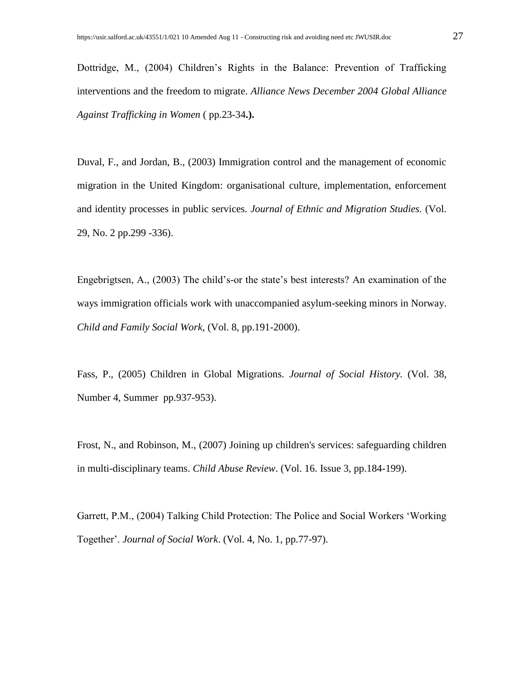Dottridge, M., (2004) Children's Rights in the Balance: Prevention of Trafficking interventions and the freedom to migrate. *Alliance News December 2004 Global Alliance Against Trafficking in Women* ( pp.23-34**.).**

Duval, F., and Jordan, B., (2003) Immigration control and the management of economic migration in the United Kingdom: organisational culture, implementation, enforcement and identity processes in public services. *Journal of Ethnic and Migration Studies.* (Vol. 29, No. 2 pp.299 -336).

Engebrigtsen, A., (2003) The child's-or the state's best interests? An examination of the ways immigration officials work with unaccompanied asylum-seeking minors in Norway. *Child and Family Social Work,* (Vol. 8, pp.191-2000).

Fass, P., (2005) Children in Global Migrations. *Journal of Social History.* (Vol. 38, Number 4, Summer pp.937-953).

Frost, N., and Robinson, M., (2007) Joining up children's services: safeguarding children in multi-disciplinary teams. *Child Abuse Review*. (Vol. 16. Issue 3, pp.184-199).

Garrett, P.M., (2004) Talking Child Protection: The Police and Social Workers 'Working Together'. *Journal of Social Work*. (Vol. 4, No. 1, pp.77-97).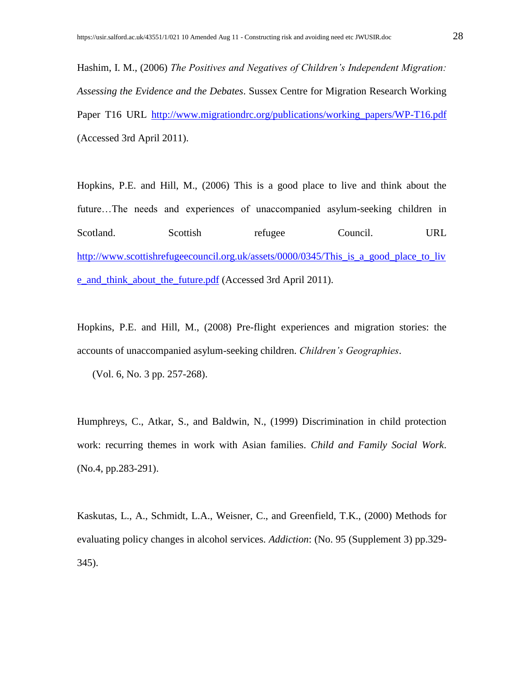Hashim, I. M., (2006) *The Positives and Negatives of Children's Independent Migration: Assessing the Evidence and the Debates*. Sussex Centre for Migration Research Working Paper T16 URL [http://www.migrationdrc.org/publications/working\\_papers/WP-T16.pdf](http://www.migrationdrc.org/publications/working_papers/WP-T16.pdf) (Accessed 3rd April 2011).

Hopkins, P.E. and Hill, M., (2006) This is a good place to live and think about the future…The needs and experiences of unaccompanied asylum-seeking children in Scotland. Scottish refugee Council. URL [http://www.scottishrefugeecouncil.org.uk/assets/0000/0345/This\\_is\\_a\\_good\\_place\\_to\\_liv](http://www.scottishrefugeecouncil.org.uk/assets/0000/0345/This_is_a_good_place_to_live_and_think_about_the_future.pdf) [e\\_and\\_think\\_about\\_the\\_future.pdf](http://www.scottishrefugeecouncil.org.uk/assets/0000/0345/This_is_a_good_place_to_live_and_think_about_the_future.pdf) (Accessed 3rd April 2011).

Hopkins, P.E. and Hill, M., (2008) Pre-flight experiences and migration stories: the accounts of unaccompanied asylum-seeking children. *Children's Geographies*.

(Vol. 6, No. 3 pp. 257-268).

Humphreys, C., Atkar, S., and Baldwin, N., (1999) Discrimination in child protection work: recurring themes in work with Asian families. *Child and Family Social Work*. (No.4, pp.283-291).

Kaskutas, L., A., Schmidt, L.A., Weisner, C., and Greenfield, T.K., (2000) Methods for evaluating policy changes in alcohol services. *Addiction*: (No. 95 (Supplement 3) pp.329- 345).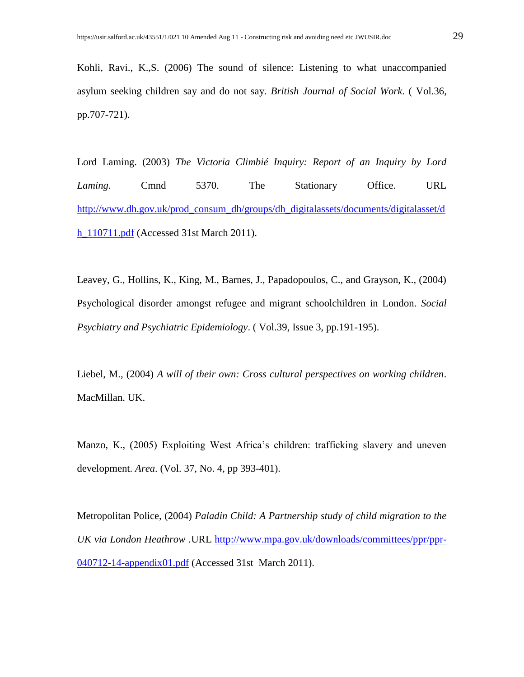Kohli, Ravi., K.,S. (2006) The sound of silence: Listening to what unaccompanied asylum seeking children say and do not say. *British Journal of Social Work*. ( Vol.36, pp.707-721).

Lord Laming. (2003) *The Victoria Climbié Inquiry: Report of an Inquiry by Lord Laming.* Cmnd 5370. The Stationary Office. URL [http://www.dh.gov.uk/prod\\_consum\\_dh/groups/dh\\_digitalassets/documents/digitalasset/d](http://www.dh.gov.uk/prod_consum_dh/groups/dh_digitalassets/documents/digitalasset/dh_110711.pdf) [h\\_110711.pdf](http://www.dh.gov.uk/prod_consum_dh/groups/dh_digitalassets/documents/digitalasset/dh_110711.pdf) (Accessed 31st March 2011).

Leavey, G., Hollins, K., King, M., Barnes, J., Papadopoulos, C., and Grayson, K., (2004) Psychological disorder amongst refugee and migrant schoolchildren in London. *Social Psychiatry and Psychiatric Epidemiology*. ( Vol.39, Issue 3, pp.191-195).

Liebel, M., (2004) *A will of their own: Cross cultural perspectives on working children*. MacMillan. UK.

Manzo, K., (2005) Exploiting West Africa's children: trafficking slavery and uneven development. *Area*. (Vol. 37, No. 4, pp 393-401).

Metropolitan Police, (2004) *Paladin Child: A Partnership study of child migration to the UK via London Heathrow .*URL [http://www.mpa.gov.uk/downloads/committees/ppr/ppr-](http://www.mpa.gov.uk/downloads/committees/ppr/ppr-040712-14-appendix01.pdf)[040712-14-appendix01.pdf](http://www.mpa.gov.uk/downloads/committees/ppr/ppr-040712-14-appendix01.pdf) (Accessed 31st March 2011).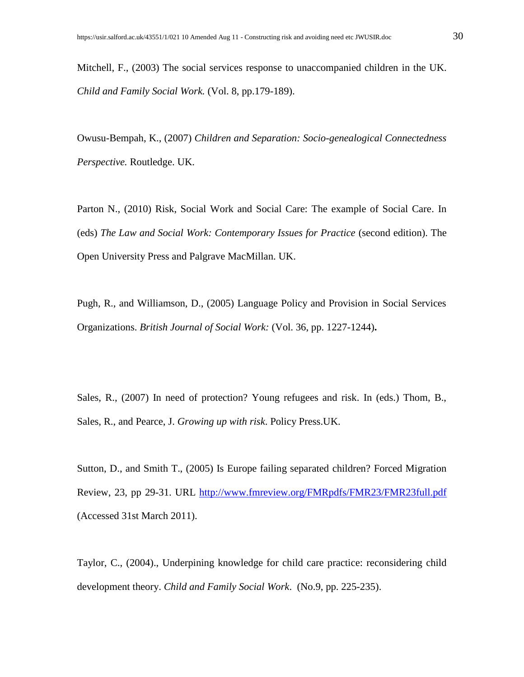Mitchell, F., (2003) The social services response to unaccompanied children in the UK. *Child and Family Social Work.* (Vol. 8, pp.179-189).

Owusu-Bempah, K., (2007) *Children and Separation: Socio-genealogical Connectedness Perspective.* Routledge. UK.

Parton N., (2010) Risk, Social Work and Social Care: The example of Social Care. In (eds) *The Law and Social Work: Contemporary Issues for Practice* (second edition). The Open University Press and Palgrave MacMillan. UK.

Pugh, R., and Williamson, D., (2005) Language Policy and Provision in Social Services Organizations. *British Journal of Social Work:* (Vol. 36, pp. 1227-1244)**.** 

Sales, R., (2007) In need of protection? Young refugees and risk. In (eds.) Thom, B., Sales, R., and Pearce, J. *Growing up with risk*. Policy Press.UK.

Sutton, D., and Smith T., (2005) Is Europe failing separated children? Forced Migration Review, 23, pp 29-31. URL<http://www.fmreview.org/FMRpdfs/FMR23/FMR23full.pdf> (Accessed 31st March 2011).

Taylor, C., (2004)., Underpining knowledge for child care practice: reconsidering child development theory. *Child and Family Social Work*. (No.9, pp. 225-235).